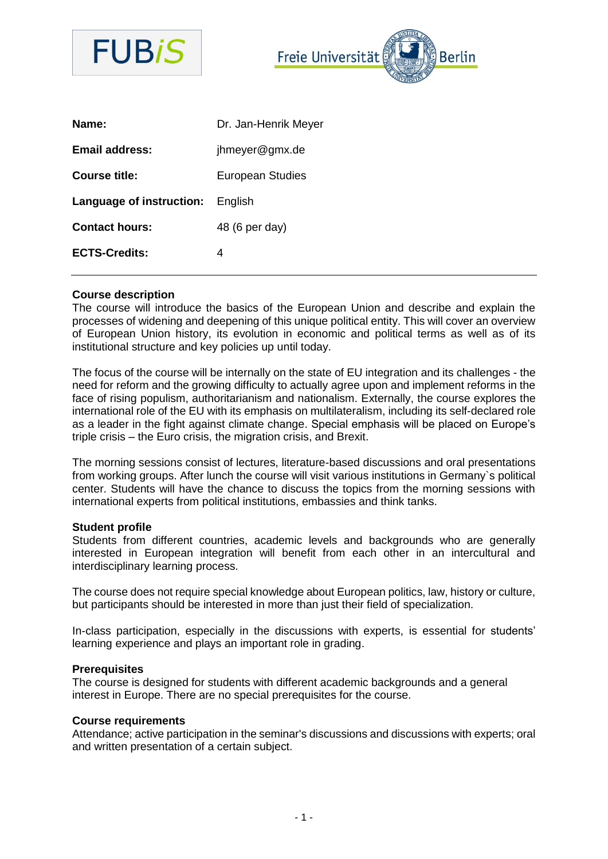

Freie Universität **Berlin** 

| Name:                            | Dr. Jan-Henrik Meyer    |
|----------------------------------|-------------------------|
| <b>Email address:</b>            | jhmeyer@gmx.de          |
| <b>Course title:</b>             | <b>European Studies</b> |
| Language of instruction: English |                         |
| <b>Contact hours:</b>            | 48 (6 per day)          |
| <b>ECTS-Credits:</b>             | 4                       |

### **Course description**

The course will introduce the basics of the European Union and describe and explain the processes of widening and deepening of this unique political entity. This will cover an overview of European Union history, its evolution in economic and political terms as well as of its institutional structure and key policies up until today.

The focus of the course will be internally on the state of EU integration and its challenges - the need for reform and the growing difficulty to actually agree upon and implement reforms in the face of rising populism, authoritarianism and nationalism. Externally, the course explores the international role of the EU with its emphasis on multilateralism, including its self-declared role as a leader in the fight against climate change. Special emphasis will be placed on Europe's triple crisis – the Euro crisis, the migration crisis, and Brexit.

The morning sessions consist of lectures, literature-based discussions and oral presentations from working groups. After lunch the course will visit various institutions in Germany`s political center. Students will have the chance to discuss the topics from the morning sessions with international experts from political institutions, embassies and think tanks.

#### **Student profile**

Students from different countries, academic levels and backgrounds who are generally interested in European integration will benefit from each other in an intercultural and interdisciplinary learning process.

The course does not require special knowledge about European politics, law, history or culture, but participants should be interested in more than just their field of specialization.

In-class participation, especially in the discussions with experts, is essential for students' learning experience and plays an important role in grading.

#### **Prerequisites**

The course is designed for students with different academic backgrounds and a general interest in Europe. There are no special prerequisites for the course.

#### **Course requirements**

Attendance; active participation in the seminar's discussions and discussions with experts; oral and written presentation of a certain subject.